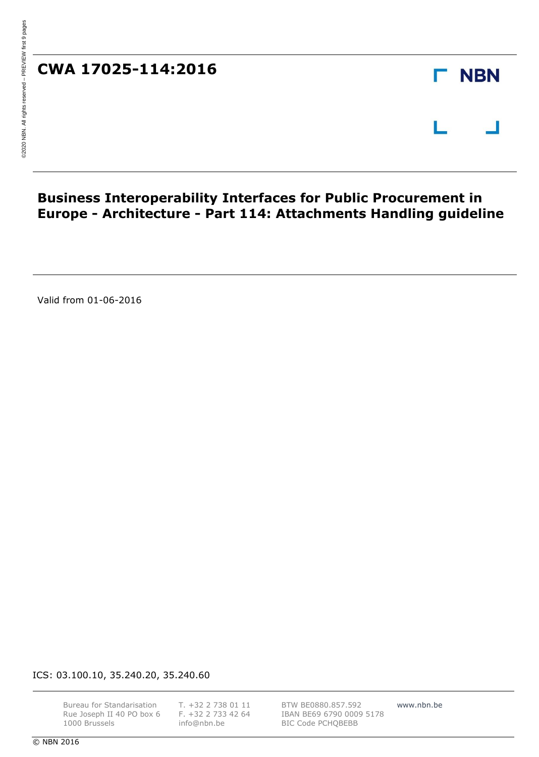# @2020 NBN. All rights reserved - PREVIEW first 9 pages ©2020 NBN. All rights reserved – PREVIEW first 9 pages

#### **CWA 17025-114:2016**

#### **Business Interoperability Interfaces for Public Procurement in Europe - Architecture - Part 114: Attachments Handling guideline**

Valid from 01-06-2016

ICS: 03.100.10, 35.240.20, 35.240.60

Bureau for Standarisation Rue Joseph II 40 PO box 6 1000 Brussels

T. +32 2 738 01 11 F. +32 2 733 42 64 [info@nbn.be](mailto:info@nbn.be)

BTW BE0880.857.592 IBAN BE69 6790 0009 5178 BIC Code PCHQBEBB

www.nbn.be

**NBN** 

Г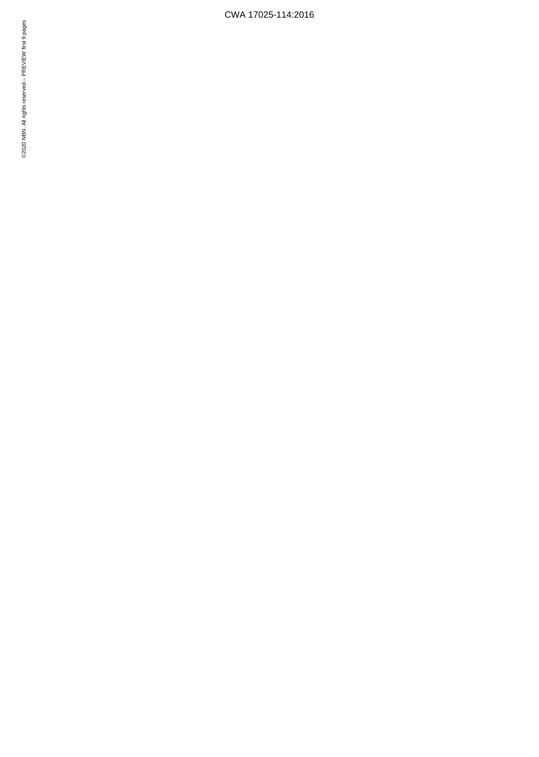CWA 17025-114:2016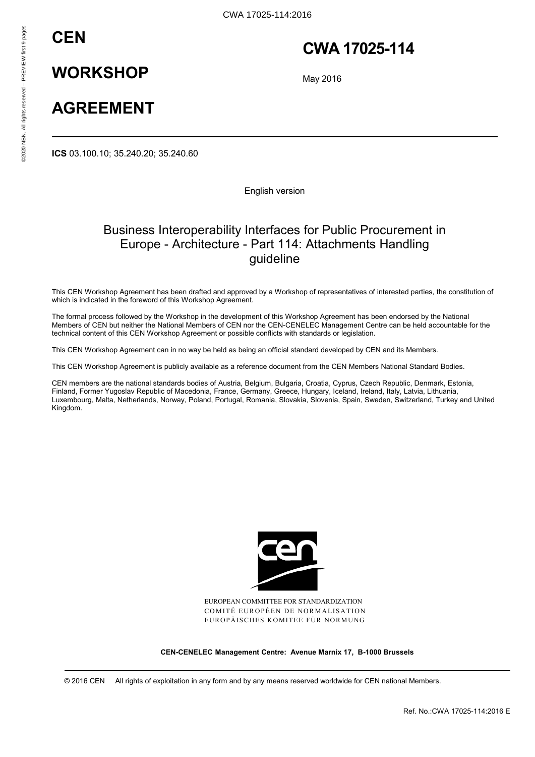## **CEN**

#### **CWA 17025-114**

**WORKSHOP** 

May 2016

#### **AGREEMENT**

**ICS** 03.100.10; 35.240.20; 35.240.60

English version

#### Business Interoperability Interfaces for Public Procurement in Europe - Architecture - Part 114: Attachments Handling guideline

This CEN Workshop Agreement has been drafted and approved by a Workshop of representatives of interested parties, the constitution of which is indicated in the foreword of this Workshop Agreement.

The formal process followed by the Workshop in the development of this Workshop Agreement has been endorsed by the National Members of CEN but neither the National Members of CEN nor the CEN-CENELEC Management Centre can be held accountable for the technical content of this CEN Workshop Agreement or possible conflicts with standards or legislation.

This CEN Workshop Agreement can in no way be held as being an official standard developed by CEN and its Members.

This CEN Workshop Agreement is publicly available as a reference document from the CEN Members National Standard Bodies.

CEN members are the national standards bodies of Austria, Belgium, Bulgaria, Croatia, Cyprus, Czech Republic, Denmark, Estonia, Finland, Former Yugoslav Republic of Macedonia, France, Germany, Greece, Hungary, Iceland, Ireland, Italy, Latvia, Lithuania, Luxembourg, Malta, Netherlands, Norway, Poland, Portugal, Romania, Slovakia, Slovenia, Spain, Sweden, Switzerland, Turkey and United Kingdom.



EUROPEAN COMMITTEE FOR STANDARDIZATION COMITÉ EUROPÉEN DE NORMALISATION EUROPÄISCHES KOMITEE FÜR NORMUNG

**CEN-CENELEC Management Centre: Avenue Marnix 17, B-1000 Brussels** 

© 2016 CEN All rights of exploitation in any form and by any means reserved worldwide for CEN national Members.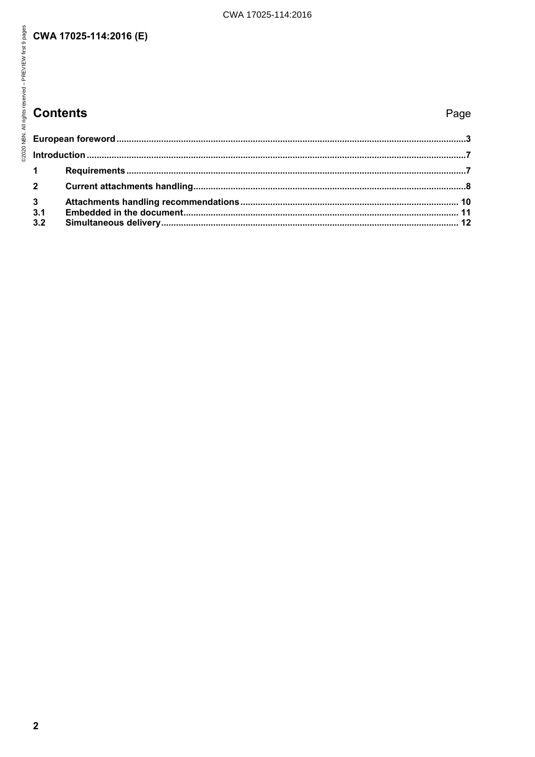#### CWA 17025-114:2016

#### CWA 17025-114:2016 (E)

#### **Contents**

#### Page

| $\overline{\mathbf{2}}$ |  |  |  |
|-------------------------|--|--|--|
| 3 <sup>7</sup><br>3.1   |  |  |  |
| 3.2                     |  |  |  |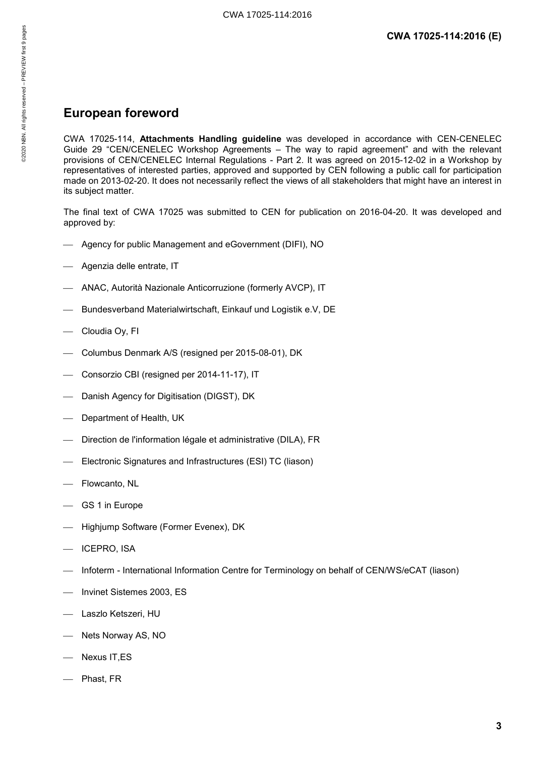### **European foreword**

CWA 17025-114, **Attachments Handling guideline** was developed in accordance with CEN-CENELEC Guide 29 "CEN/CENELEC Workshop Agreements – The way to rapid agreement" and with the relevant provisions of CEN/CENELEC Internal Regulations - Part 2. It was agreed on 2015-12-02 in a Workshop by representatives of interested parties, approved and supported by CEN following a public call for participation made on 2013-02-20. It does not necessarily reflect the views of all stakeholders that might have an interest in its subject matter.

The final text of CWA 17025 was submitted to CEN for publication on 2016-04-20. It was developed and approved by:

- Agency for public Management and eGovernment (DIFI), NO
- Agenzia delle entrate, IT
- ANAC, Autorità Nazionale Anticorruzione (formerly AVCP), IT
- Bundesverband Materialwirtschaft, Einkauf und Logistik e.V, DE
- Cloudia Oy, FI
- Columbus Denmark A/S (resigned per 2015-08-01), DK
- Consorzio CBI (resigned per 2014-11-17), IT
- Danish Agency for Digitisation (DIGST), DK
- Department of Health, UK
- Direction de l'information légale et administrative (DILA), FR
- Electronic Signatures and Infrastructures (ESI) TC (liason)
- Flowcanto, NL
- GS 1 in Europe
- Highiump Software (Former Evenex), DK
- $-$  ICEPRO, ISA
- Infoterm International Information Centre for Terminology on behalf of CEN/WS/eCAT (liason)
- Invinet Sistemes 2003, ES
- Laszlo Ketszeri, HU
- Nets Norway AS, NO
- Nexus IT, ES
- Phast, FR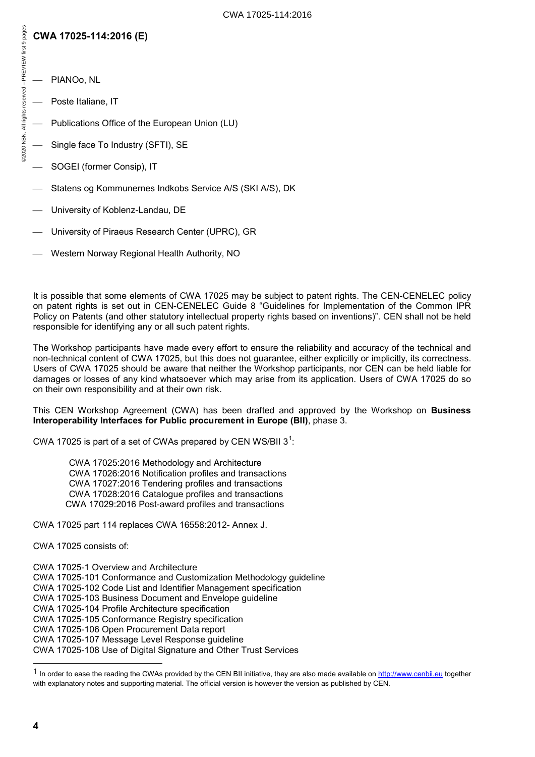#### **CWA 17025-114:2016 (E)**

- ©2020 NBN. All rights reserved PREVIEW first 9 pages62020 NBN. All rights reserved - PREVIEW first 9 pages PIANOo, NL Poste Italiane, IT
	- Publications Office of the European Union (LU)
	- Single face To Industry (SFTI), SE
	- SOGEI (former Consip), IT
	- Statens og Kommunernes Indkobs Service A/S (SKI A/S), DK
	- University of Koblenz-Landau, DE
	- University of Piraeus Research Center (UPRC), GR
	- Western Norway Regional Health Authority, NO

It is possible that some elements of CWA 17025 may be subject to patent rights. The CEN-CENELEC policy on patent rights is set out in CEN-CENELEC Guide 8 "Guidelines for Implementation of the Common IPR Policy on Patents (and other statutory intellectual property rights based on inventions)". CEN shall not be held responsible for identifying any or all such patent rights.

The Workshop participants have made every effort to ensure the reliability and accuracy of the technical and non-technical content of CWA 17025, but this does not guarantee, either explicitly or implicitly, its correctness. Users of CWA 17025 should be aware that neither the Workshop participants, nor CEN can be held liable for damages or losses of any kind whatsoever which may arise from its application. Users of CWA 17025 do so on their own responsibility and at their own risk.

This CEN Workshop Agreement (CWA) has been drafted and approved by the Workshop on **Business Interoperability Interfaces for Public procurement in Europe (BII)**, phase 3.

CWA [1](#page--1-6)7025 is part of a set of CWAs prepared by CEN WS/BII 3 $^1$ :

CWA 17025:2016 Methodology and Architecture CWA 17026:2016 Notification profiles and transactions CWA 17027:2016 Tendering profiles and transactions CWA 17028:2016 Catalogue profiles and transactions CWA 17029:2016 Post-award profiles and transactions

CWA 17025 part 114 replaces CWA 16558:2012- Annex J.

CWA 17025 consists of:

CWA 17025-1 Overview and Architecture

CWA 17025-101 Conformance and Customization Methodology guideline

CWA 17025-102 Code List and Identifier Management specification

CWA 17025-103 Business Document and Envelope guideline

CWA 17025-104 Profile Architecture specification

CWA 17025-105 Conformance Registry specification

CWA 17025-106 Open Procurement Data report

CWA 17025-107 Message Level Response guideline

CWA 17025-108 Use of Digital Signature and Other Trust Services

 $1$  In order to ease the reading the CWAs provided by the CEN BII initiative, they are also made available on [http://www.cenbii.eu](http://www.cenbii.eu/) together with explanatory notes and supporting material. The official version is however the version as published by CEN.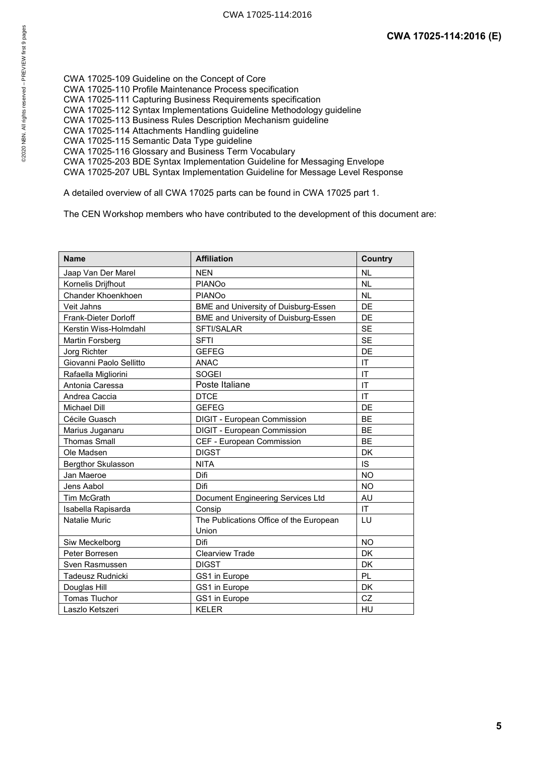CWA 17025-109 Guideline on the Concept of Core CWA 17025-110 Profile Maintenance Process specification CWA 17025-111 Capturing Business Requirements specification CWA 17025-112 Syntax Implementations Guideline Methodology guideline CWA 17025-113 Business Rules Description Mechanism guideline CWA 17025-114 Attachments Handling guideline CWA 17025-115 Semantic Data Type guideline CWA 17025-116 Glossary and Business Term Vocabulary CWA 17025-203 BDE Syntax Implementation Guideline for Messaging Envelope CWA 17025-207 UBL Syntax Implementation Guideline for Message Level Response

A detailed overview of all CWA 17025 parts can be found in CWA 17025 part 1.

The CEN Workshop members who have contributed to the development of this document are:

CWA 17025-114:2016

| <b>Name</b>             | <b>Affiliation</b>                      | <b>Country</b>         |
|-------------------------|-----------------------------------------|------------------------|
| Jaap Van Der Marel      | <b>NEN</b>                              | <b>NL</b>              |
| Kornelis Drijfhout      | <b>PIANOo</b>                           | <b>NL</b>              |
| Chander Khoenkhoen      | <b>PIANOo</b>                           | <b>NL</b>              |
| Veit Jahns              | BME and University of Duisburg-Essen    | DE                     |
| Frank-Dieter Dorloff    | BME and University of Duisburg-Essen    | DE                     |
| Kerstin Wiss-Holmdahl   | SFTI/SALAR                              | <b>SE</b>              |
| Martin Forsberg         | <b>SFTI</b>                             | <b>SE</b>              |
| Jorg Richter            | <b>GEFEG</b>                            | DE                     |
| Giovanni Paolo Sellitto | <b>ANAC</b>                             | $\mathsf{I}\mathsf{T}$ |
| Rafaella Migliorini     | <b>SOGEI</b>                            | IT                     |
| Antonia Caressa         | Poste Italiane                          | IT                     |
| Andrea Caccia           | <b>DTCE</b>                             | IT                     |
| Michael Dill            | <b>GEFEG</b>                            | DE                     |
| Cécile Guasch           | DIGIT - European Commission             | <b>BE</b>              |
| Marius Juganaru         | DIGIT - European Commission             | <b>BE</b>              |
| <b>Thomas Small</b>     | CEF - European Commission               | <b>BE</b>              |
| Ole Madsen              | <b>DIGST</b>                            | DK                     |
| Bergthor Skulasson      | <b>NITA</b>                             | IS                     |
| Jan Maeroe              | Difi                                    | <b>NO</b>              |
| Jens Aabol              | Difi                                    | <b>NO</b>              |
| <b>Tim McGrath</b>      | Document Engineering Services Ltd       | AU                     |
| Isabella Rapisarda      | Consip                                  | IT                     |
| <b>Natalie Muric</b>    | The Publications Office of the European | LU                     |
|                         | Union                                   |                        |
| Siw Meckelborg          | Difi                                    | <b>NO</b>              |
| Peter Borresen          | <b>Clearview Trade</b>                  | DK                     |
| Sven Rasmussen          | <b>DIGST</b>                            | DK                     |
| Tadeusz Rudnicki        | GS1 in Europe                           | PL                     |
| Douglas Hill            | GS1 in Europe                           | DK                     |
| <b>Tomas Tluchor</b>    | GS1 in Europe                           | CZ                     |
| Laszlo Ketszeri         | <b>KELER</b>                            | HU                     |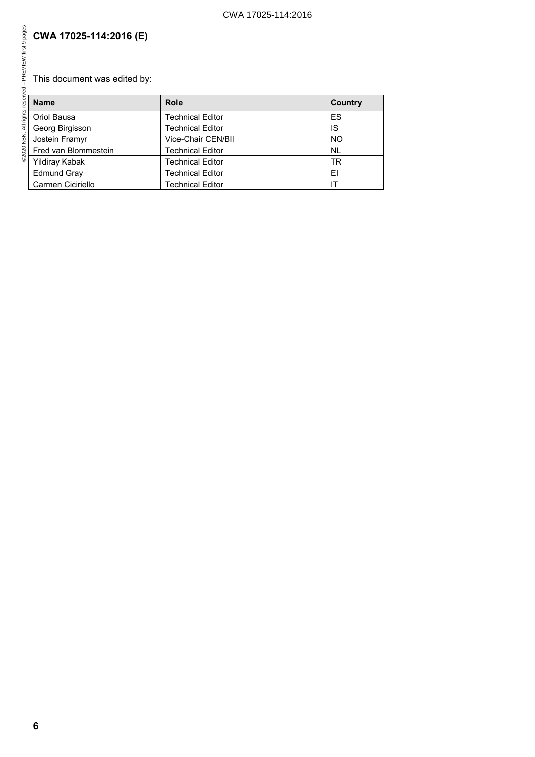#### **CWA 17025-114:2016 (E)**

This document was edited by:

| <b>Name</b>          | <b>Role</b>               | Country   |
|----------------------|---------------------------|-----------|
| Oriol Bausa          | <b>Technical Editor</b>   | <b>ES</b> |
| Georg Birgisson      | <b>Technical Editor</b>   | <b>IS</b> |
| Jostein Frømyr       | <b>Vice-Chair CEN/BII</b> | NO        |
| Fred van Blommestein | <b>Technical Editor</b>   | <b>NL</b> |
| Yildiray Kabak       | <b>Technical Editor</b>   | <b>TR</b> |
| <b>Edmund Gray</b>   | <b>Technical Editor</b>   | EI        |
| Carmen Ciciriello    | <b>Technical Editor</b>   |           |